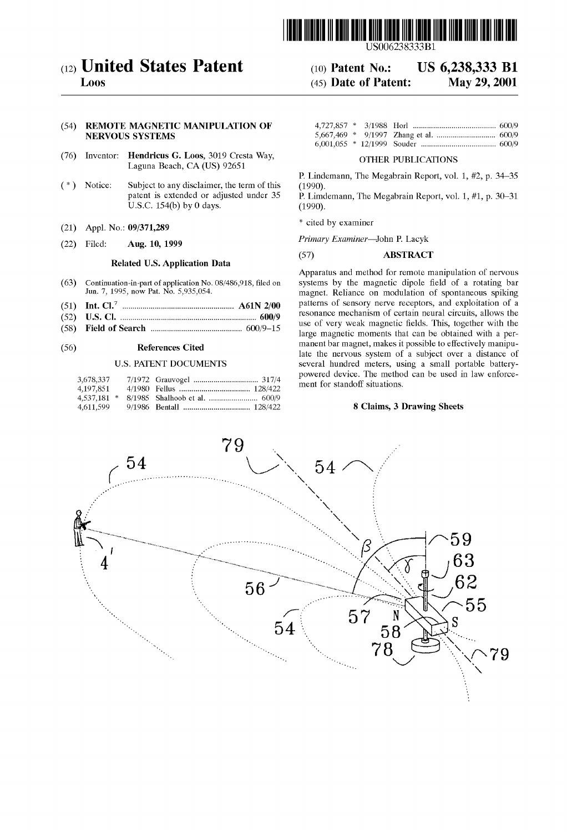

# (12) United States Patent (10) Patent No.: US 6,238,333 B1

L00s (45) Date of Patent: May 29, 2001

# (54) REMOTE MAGNETIC MANIPULATION OF NERVOUS SYSTEMS

- (76) Inventor: Hendricus G. Loos, 3019 Cresta Way, OTHER PUBLICATIONS Laguna Beach, CA (US) 92651
- ( $*$ ) Notice: Subject to any disclaimer, the term of this (1990).<br>patent is extended or adjusted under 35 P. Limon U.S.C.  $154(b)$  by 0 days.
- (21) Appl. No.:  $09/371,289$
- 

### Related US. Application Data

- 
- (51) Int. Cl.7 ..................................................... .. A61N 2/00 Patterns of Sensory nerve receptors' and exploitation of a
- 
- 

| 3,678,337 |  |  |
|-----------|--|--|
| 4,197,851 |  |  |
|           |  |  |
| 4,611,599 |  |  |

P. Lindemann, The Megabrain Report, vol. 1, #2, p. 34—35

P. Limdemann, The Megabrain Report, vol. 1, #1, p. 30–31 (1990).

\* cited by examiner

(22) Filed: Aug. 10, 1999 Primary Examiner—John P. Lacyk

### (57) ABSTRACT

Apparatus and method for remote manipulation of nervous (63) Continuation-in-part of application No. 08/486,918, filed on systems by the magnetic dipole field of a rotating bar Jun. 7, 1995, now Pat. No. 5,935,054. magnet. Reliance on modulation of spontaneous spiking patterns of sensory nerve receptors, and exploitation of a (52) U.S. Channel contain the state of the contain the contain neural circuits, allows the state of  $(52)$  U.S. Channel circuits, allows the use of very weak magnetic fields. This, together with the  $(52)$  U.S. Channel ci (58) Fi.el.d 0t.' ............................................... /9\_15 use of Very Weak magnetic ?elds. This, together With the ........................................... .. large magnetic moments that can be Obtained With a Per\_ (56) References Cited manent bar magnet, makes it possible to effectively manipu late the nervous system of a subject over a distance of U.S. PATENT DOCUMENTS several hundred meters, using a small portable batterypowered device. The method can be used in law enforcement for standoff situations.

## 8 Claims, 3 Drawing Sheets

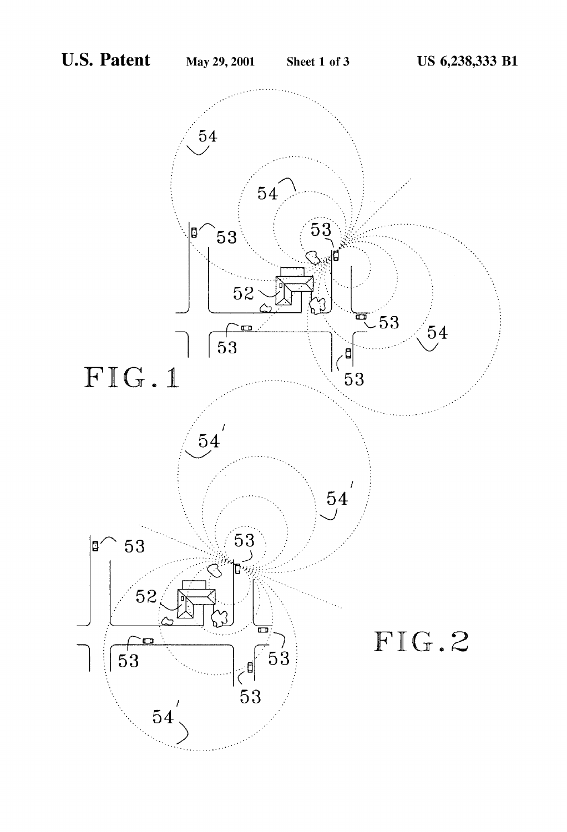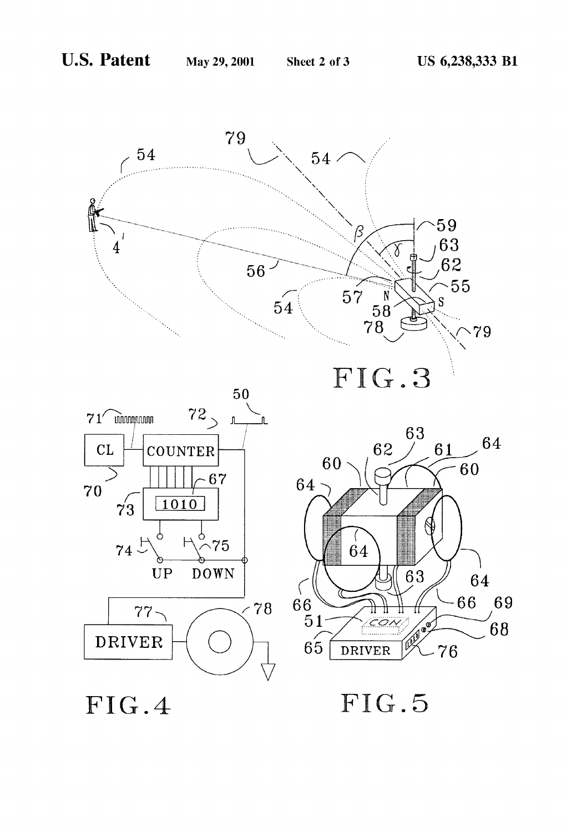

FIG.4

FIG.5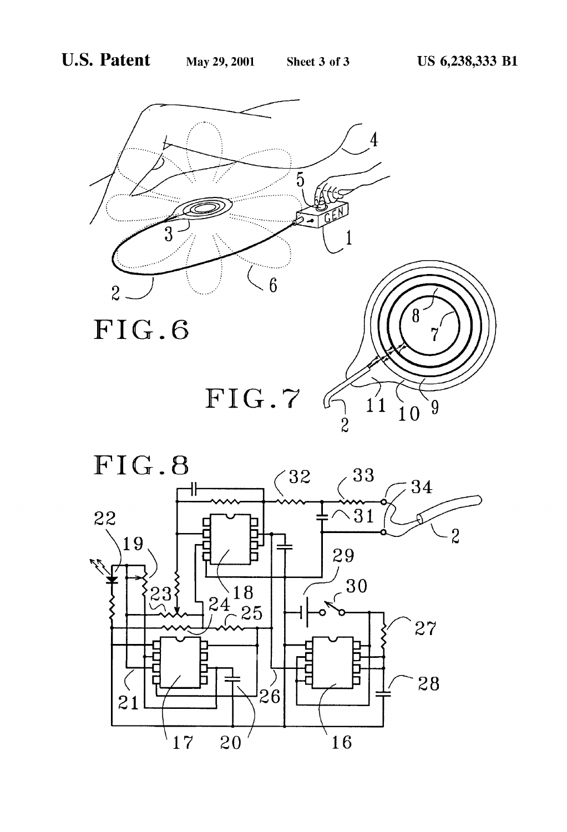

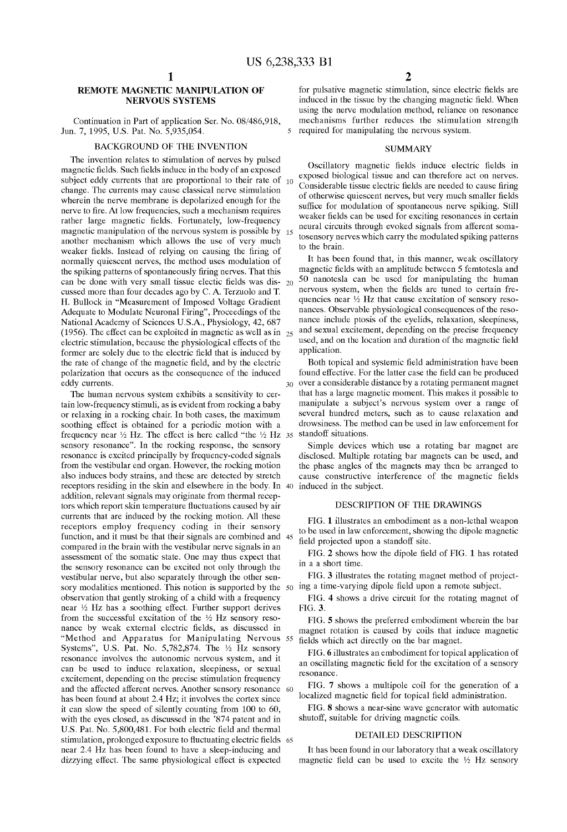$\leq$ 

30

# REMOTE MAGNETIC MANIPULATION OF NERVOUS SYSTEMS

Continuation in Part of application Ser. No. 08/486,918, Jun. 7, 1995, US. Pat. No. 5,935,054.

#### BACKGROUND OF THE INVENTION

The invention relates to stimulation of nerves by pulsed magnetic fields. Such fields induce in the body of an exposed subject eddy currents that are proportional to their rate of 10 change. The currents may cause classical nerve stimulation wherein the nerve membrane is depolarized enough for the nerve to fire. At low frequencies, such a mechanism requires rather large magnetic fields. Fortunately, low-frequency magnetic manipulation of the nervous system is possible by another mechanism Which alloWs the use of very much weaker fields. Instead of relying on causing the firing of normally quiescent nerves, the method uses modulation of the spiking patterns of spontaneously firing nerves. That this can be done with very small tissue electic fields was dis-  $_{20}$ cussed more than four decades ago by C. A. Terzuolo and T. H. Bullock in "Measurement of Imposed Voltage Gradient Adequate to Modulate Neuronal Firing", Proceedings of the National Academy of Sciences U.S.A., Physiology, 42, 687 (1956). The effect can be exploited in magnetic as well as in  $_{25}$ electric stimulation, because the physiological effects of the former are solely due to the electric field that is induced by the rate of change of the magnetic field, and by the electric polarization that occurs as the consequence of the induced eddy currents. 15

The human nervous system exhibits a sensitivity to cer tain loW-frequency stimuli, as is evident from rocking a baby or relaxing in a rocking chair. In both cases, the maximum soothing effect is obtained for a periodic motion With a frequency near  $\frac{1}{2}$  Hz. The effect is here called "the  $\frac{1}{2}$  Hz 35 sensory resonance". In the rocking response, the sensory resonance is excited principally by frequency-coded signals from the vestibular end organ. HoWever, the rocking motion also induces body strains, and these are detected by stretch receptors residing in the skin and elseWhere in the body. In 40 induced in the subject. addition, relevant signals may originate from thermal recep tors which report skin temperature fluctuations caused by air currents that are induced by the rocking motion. All these receptors employ frequency coding in their sensory function, and it must be that their signals are combined and 45 compared in the brain With the vestibular nerve signals in an assessment of the somatic state. One may thus expect that the sensory resonance can be excited not only through the vestibular nerve, but also separately through the other sen sory modalities mentioned. This notion is supported by the  $50^{\circ}$  ing a time-varying dipole field upon a remote subject. observation that gently stroking of a child With a frequency near 1/2 HZ has a soothing effect. Further support derives from the successful excitation of the  $1/2$  Hz sensory resonance by weak external electric fields, as discussed in "Method and Apparatus for Manipulating Nervous 55 Systems", U.S. Pat. No. 5,782,874. The 1/2 Hz sensory resonance involves the autonomic nervous system, and it can be used to induce relaxation, sleepiness, or sexual excitement, depending on the precise stimulation frequency and the affected afferent nerves. Another sensory resonance has been found at about 2.4 Hz; it involves the cortex since it can sloW the speed of silently counting from 100 to 60, with the eyes closed, as discussed in the '874 patent and in U.S. Pat. No. 5,800,481. For both electric field and thermal near 2.4 Hz has been found to have a sleep-inducing and dizzying effect. The same physiological effect is expected 60 stimulation, prolonged exposure to fluctuating electric fields 65

for pulsative magnetic stimulation, since electric fields are induced in the tissue by the changing magnetic field. When using the nerve modulation method, reliance on resonance mechanisms further reduces the stimulation strength required for manipulating the nervous system.

#### SUMMARY

Oscillatory magnetic fields induce electric fields in exposed biological tissue and can therefore act on nerves. Considerable tissue electric fields are needed to cause firing of otherwise quiescent nerves, but very much smaller fields suffice for modulation of spontaneous nerve spiking. Still weaker fields can be used for exciting resonances in certain neural circuits through evoked signals from afferent soma tosensory nerves Which carry the modulated spiking patterns to the brain.

It has been found that, in this manner, Weak oscillatory magnetic fields with an amplitude between 5 femtotesla and 50 nanotesla can be used for manipulating the human nervous system, when the fields are tuned to certain frequencies near  $\frac{1}{2}$  Hz that cause excitation of sensory resonances. Observable physiological consequences of the reso nance include ptosis of the eyelids, relaxation, sleepiness, and sexual excitement, depending on the precise frequency used, and on the location and duration of the magnetic field application.

Both topical and systemic field administration have been found effective. For the latter case the field can be produced over a considerable distance by a rotating permanent magnet that has a large magnetic moment. This makes it possible to manipulate a subject's nervous system over a range of several hundred meters, such as to cause relaxation and droWsiness. The method can be used in laW enforcement for standoff situations.

Simple devices Which use a rotating bar magnet are disclosed. Multiple rotating bar magnets can be used, and the phase angles of the magnets may then be arranged to cause constructive interference of the magnetic fields

## DESCRIPTION OF THE DRAWINGS

FIG. 1 illustrates an embodiment as a non-lethal Weapon to be used in laW enforcement, shoWing the dipole magnetic field projected upon a standoff site.

FIG. 2 shows how the dipole field of FIG. 1 has rotated in a a short time.

FIG. 3 illustrates the rotating magnet method of project

FIG. 4 shows a drive circuit for the rotating magnet of FIG. 3.

FIG. 5 shows the preferred embodiment wherein the bar magnet rotation is caused by coils that induce magnetic fields which act directly on the bar magnet.

FIG. 6 illustrates an embodiment for topical application of an oscillating magnetic field for the excitation of a sensory resonance.

FIG. 7 shows a multipole coil for the generation of a localized magnetic field for topical field administration.

FIG. 8 shows a near-sine wave generator with automatic shutoff, suitable for driving magnetic coils.

#### DETAILED DESCRIPTION

It has been found in our laboratory that a weak oscillatory magnetic field can be used to excite the  $\frac{1}{2}$  Hz sensory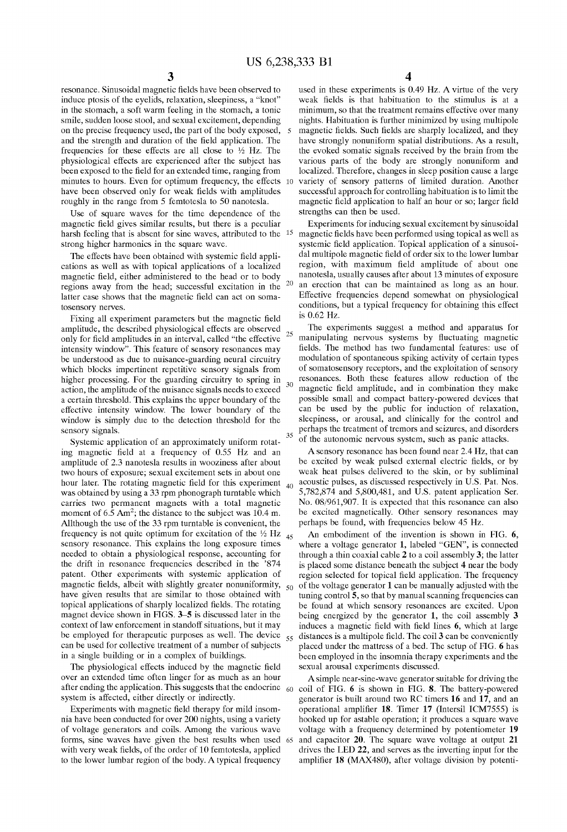25

30

35

40

50

60

 $\frac{3}{3}$  resonance. Sinusoidal magnetic fields have been observed to induce ptosis of the eyelids, relaxation, sleepiness, a "knot" in the stomach, a soft Warm feeling in the stomach, a tonic smile, sudden loose stool, and sexual excitement, depending on the precise frequency used, the part of the body exposed, and the strength and duration of the field application. The frequencies for these effects are all close to  $\frac{1}{2}$  Hz. The physiological effects are experienced after the subject has been exposed to the field for an extended time, ranging from minutes to hours. Even for optimum frequency, the effects 10 variety of sensory patterns of limited duration. Another have been observed only for weak fields with amplitudes roughly in the range from 5 femtotesla to 50 nanotesla.

Use of square Waves for the time dependence of the magnetic field gives similar results, but there is a peculiar harsh feeling that is absent for sine waves, attributed to the <sup>15</sup> strong higher harmonics in the square Wave.

The effects have been obtained with systemic field applications as well as with topical applications of a localized magnetic field, either administered to the head or to body regions aWay from the head; successful excitation in the latter case shows that the magnetic field can act on somatosensory nerves.

Fixing all experiment parameters but the magnetic field amplitude, the described physiological effects are observed only for field amplitudes in an interval, called "the effective intensity window". This feature of sensory resonances may be understood as due to nuisance-guarding neural circuitry Which blocks impertinent repetitive sensory signals from higher processing. For the guarding circuitry to spring in action, the amplitude of the nuisance signals needs to exceed a certain threshold. This explains the upper boundary of the effective intensity WindoW. The loWer boundary of the window is simply due to the detection threshold for the sensory signals.

Systemic application of an approximately uniform rotat ing magnetic field at a frequency of  $0.55$  Hz and an amplitude of 2.3 nanotesla results in wooziness after about two hours of exposure; sexual excitement sets in about one hour later. The rotating magnetic field for this experiment Was obtained by using a 33 rpm phonograph turntable Which carries tWo permanent magnets With a total magnetic moment of  $6.5 \text{ Am}^2$ ; the distance to the subject was  $10.4 \text{ m}$ . Allthough the use of the 33 rpm turntable is convenient, the frequency is not quite optimum for excitation of the  $\frac{1}{2}$  Hz  $_{45}$ sensory resonance. This explains the long exposure times needed to obtain a physiological response, accounting for the drift in resonance frequencies described in the '874 patent. Other experiments With systemic application of magnetic fields, albeit with slightly greater nonuniformity, have given results that are similar to those obtained With topical applications of sharply localized fields. The rotating magnet device shown in FIGS. 3–5 is discussed later in the context of laW enforcement in standoff situations, but it may can be used for collective treatment of a number of subjects in a single building or in a complex of buildings.

The physiological effects induced by the magnetic field over an extended time often linger for as much as an hour after ending the application. This suggests that the endocrine system is affected, either directly or indirectly.

Experiments with magnetic field therapy for mild insomnia have been conducted for over 200 nights, using a variety of voltage generators and coils. Among the various Wave forms, sine Waves have given the best results When used with very weak fields, of the order of 10 femtotesla, applied to the lower lumbar region of the body. A typical frequency 65 4

used in these experiments is 0.49 HZ. A virtue of the very weak fields is that habituation to the stimulus is at a minimum, so that the treatment remains effective over many nights. Habituation is further minimized by using multipole magnetic fields. Such fields are sharply localized, and they have strongly nonuniform spatial distributions. As a result, the evoked somatic signals received by the brain from the various parts of the body are strongly nonuniform and localized. Therefore, changes in sleep position cause a large successful approach for controlling habituation is to limit the magnetic field application to half an hour or so; larger field strengths can then be used.

Experiments for inducing sexual excitement by sinusoidal magnetic fields have been performed using topical as well as systemic field application. Topical application of a sinusoidal multipole magnetic field of order six to the lower lumbar region, with maximum field amplitude of about one nanotesla, usually causes after about 13 minutes of exposure an erection that can be maintained as long as an hour. Effective frequencies depend someWhat on physiological conditions, but a typical frequency for obtaining this effect is 0.62 HZ.

The experiments suggest a method and apparatus for manipulating nervous systems by fluctuating magnetic fields. The method has two fundamental features: use of modulation of spontaneous spiking activity of certain types of somatosensory receptors, and the exploitation of sensory resonances. Both these features alloW reduction of the magnetic field amplitude, and in combination they make possible small and compact battery-poWered devices that can be used by the public for induction of relaxation, sleepiness, or arousal, and clinically for the control and perhaps the treatment of tremors and seiZures, and disorders of the autonomic nervous system, such as panic attacks.

A sensory resonance has been found near 2.4 HZ, that can be excited by weak pulsed external electric fields, or by Weak heat pulses delivered to the skin, or by subliminal acoustic pulses, as discussed respectively in US. Pat. Nos. 5,782,874 and 5,800,481, and US. patent application Ser. No. 08/961,907. It is expected that this resonance can also be excited magnetically. Other sensory resonances may perhaps be found, With frequencies beloW 45 HZ.

be employed for therapeutic purposes as well. The device  $\frac{55}{15}$  distances is a multipole field. The coil 3 can be conveniently An embodiment of the invention is shown in FIG. 6, Where a voltage generator 1, labeled "GEN", is connected through a thin coaxial cable 2 to a coil assembly 3; the latter is placed some distance beneath the subject 4 near the body region selected for topical field application. The frequency of the voltage generator 1 can be manually adjusted With the tuning control 5, so that by manual scanning frequencies can be found at Which sensory resonances are excited. Upon being energized by the generator 1, the coil assembly  $3$ induces a magnetic field with field lines 6, which at large placed under the mattress of a bed. The setup of FIG. 6 has been employed in the insomnia therapy experiments and the sexual arousal experiments discussed.

> Asimple near-sine-Wave generator suitable for driving the coil of FIG. 6 is shown in FIG. 8. The battery-powered generator is built around tWo RC timers 16 and 17, and an operational amplifier 18. Timer 17 (Intersil ICM7555) is hooked up for astable operation; it produces a square Wave voltage With a frequency determined by potentiometer 19 and capacitor 20. The square Wave voltage at output 21 drives the LED 22, and serves as the inverting input for the amplifier 18 (MAX480), after voltage division by potenti-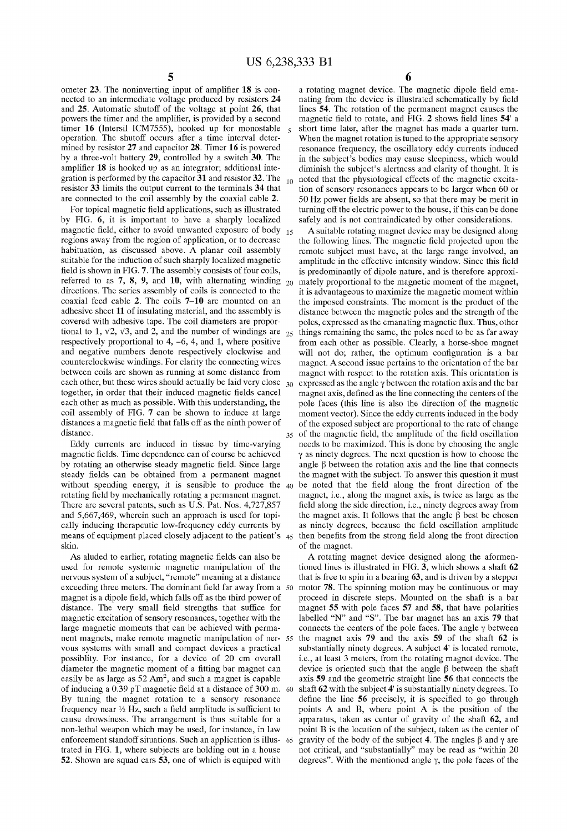ometer  $23$ . The noninverting input of amplifier  $18$  is connected to an intermediate voltage produced by resistors 24 and 25. Automatic shutoff of the voltage at point 26, that powers the timer and the amplifier, is provided by a second timer 16 (Intersil ICM7555), hooked up for monostable operation. The shutoff occurs after a time interval deter mined by resistor 27 and capacitor 28. Timer 16 is powered by a three-volt battery 29, controlled by a switch 30. The amplifier 18 is hooked up as an integrator; additional integration is performed by the capacitor 31 and resistor 32. The resistor 33 limits the output current to the terminals 34 that are connected to the coil assembly by the coaxial cable 2.

For topical magnetic field applications, such as illustrated by FIG. 6, it is important to have a sharply localized magnetic field, either to avoid unwanted exposure of body regions aWay from the region of application, or to decrease habituation, as discussed above. A planar coil assembly suitable for the induction of such sharply localized magnetic field is shown in FIG. 7. The assembly consists of four coils, referred to as 7, 8, 9, and 10, with alternating winding  $_{20}$ directions. The series assembly of coils is connected to the coaxial feed cable 2. The coils 7—10 are mounted on an adhesive sheet 11 of insulating material, and the assembly is covered With adhesive tape. The coil diameters are propor tional to 1,  $\sqrt{2}$ ,  $\sqrt{3}$ , and 2, and the number of windings are respectively proportional to  $4, -6, 4$ , and 1, where positive and negative numbers denote respectively clockWise and counterclockwise Windings. For clarity the connecting Wires betWeen coils are shoWn as running at some distance from each other, but these Wires should actually be laid very close together, in order that their induced magnetic fields cancel each other as much as possible. With this understanding, the coil assembly of FIG. 7 can be shoWn to induce at large distances a magnetic field that falls off as the ninth power of distance. 15

Eddy currents are induced in tissue by time-varying magnetic fields. Time dependence can of course be achieved by rotating an otherwise steady magnetic field. Since large steady fields can be obtained from a permanent magnet without spending energy, it is sensible to produce the  $40$ rotating field by mechanically rotating a permanent magnet. There are several patents, such as US. Pat. Nos. 4,727,857 and 5,667,469, Wherein such an approach is used for topi cally inducing therapeutic loW-frequency eddy currents by skin.

As aluded to earlier, rotating magnetic fields can also be used for remote systemic magnetic manipulation of the nervous system of a subject, "remote" meaning at a distance exceeding three meters. The dominant field far away from a 50 magnet is a dipole field, which falls off as the third power of distance. The very small field strengths that suffice for magnetic excitation of sensory resonances, together With the large magnetic moments that can be achieved With perma nent magnets, make remote magnetic manipulation of ner 55 vous systems With small and compact devices a practical possiblity. For instance, for a device of 20 cm overall diameter the magnetic moment of a fitting bar magnet can easily be as large as  $52 \text{ Am}^2$ , and such a magnet is capable of inducing a  $0.39$  pT magnetic field at a distance of 300 m. 60 By tuning the magnet rotation to a sensory resonance frequency near  $\frac{1}{2}$  Hz, such a field amplitude is sufficient to cause droWsiness. The arrangement is thus suitable for a non-lethal Weapon Which may be used, for instance, in laW enforcement standoff situations. Such an application is illus trated in FIG. 1, Where subjects are holding out in a house 52. ShoWn are squad cars 53, one of Which is equiped With 65

 $_{10}$  noted that the physiological effects of the magnetic excita-6 **6**<br>a rotating magnet device. The magnetic dipole field emanating from the device is illustrated schematically by field lines 54. The rotation of the permanent magnet causes the magnetic field to rotate, and FIG. 2 shows field lines 54' a short time later, after the magnet has made a quarter turn. When the magnet rotation is tuned to the appropriate sensory resonance frequency, the oscillatory eddy currents induced in the subject's bodies may cause sleepiness, Which Would diminish the subject's alertness and clarity of thought. It is tion of sensory resonances appears to be larger When 60 or 50 Hz power fields are absent, so that there may be merit in turning off the electric poWer to the house, if this can be done safely and is not contraindicated by other considerations.

means of equipment placed closely adjacent to the patient's  $45$  then benefits from the strong field along the front direction 25 <sub>35</sub> of the magnetic field, the amplitude of the field oscillation A suitable rotating magnet device may be designed along the following lines. The magnetic field projected upon the remote subject must have, at the large range involved, an amplitude in the effective intensity window. Since this field is predominantly of dipole nature, and is therefore approxi mately proportional to the magnetic moment of the magnet, it is advantageous to maximize the magnetic moment within the imposed constraints. The moment is the product of the distance betWeen the magnetic poles and the strength of the poles, expressed as the emanating magnetic flux. Thus, other things remaining the same, the poles need to be as far aWay from each other as possible. Clearly, a horse-shoe magnet will not do; rather, the optimum configuration is a bar magnet. A second issue pertains to the orientation of the bar magnet With respect to the rotation axis. This orientation is expressed as the angle  $\gamma$  between the rotation axis and the bar magnet axis, defined as the line connecting the centers of the pole faces (this line is also the direction of the magnetic moment vector). Since the eddy currents induced in the body of the exposed subject are proportional to the rate of change needs to be maximized. This is done by choosing the angle  $\gamma$  as ninety degrees. The next question is how to choose the angle  $\beta$  between the rotation axis and the line that connects the magnet with the subject. To answer this question it must be noted that the field along the front direction of the magnet, i.e., along the magnet axis, is twice as large as the field along the side direction, i.e., ninety degrees away from the magnet axis. It follows that the angle  $\beta$  best be chosen as ninety degrees, because the field oscillation amplitude of the magnet.

> A rotating magnet device designed along the aformen tioned lines is illustrated in FIG. 3, which shows a shaft 62 that is free to spin in a bearing 63, and is driven by a stepper motor 78. The spinning motion may be continuous or may proceed in discrete steps. Mounted on the shaft is a bar magnet 55 With pole faces 57 and 58, that have polarities labelled "N" and "S". The bar magnet has an axis 79 that connects the centers of the pole faces. The angle  $\gamma$  between the magnet axis 79 and the axis 59 of the shaft 62 is substantially ninety degrees. A subject 4' is located remote, i.e., at least 3 meters, from the rotating magnet device. The device is oriented such that the angle  $\beta$  between the shaft axis 59 and the geometric straight line 56 that connects the shaft 62 With the subject 4' is substantially ninety degrees. To define the line  $56$  precisely, it is specified to go through points A and B, Where point A is the position of the apparatus, taken as center of gravity of the shaft 62, and point B is the location of the subject, taken as the center of gravity of the body of the subject 4. The angles  $\beta$  and  $\gamma$  are not critical, and "substantially" may be read as "Within 20 degrees". With the mentioned angle  $\gamma$ , the pole faces of the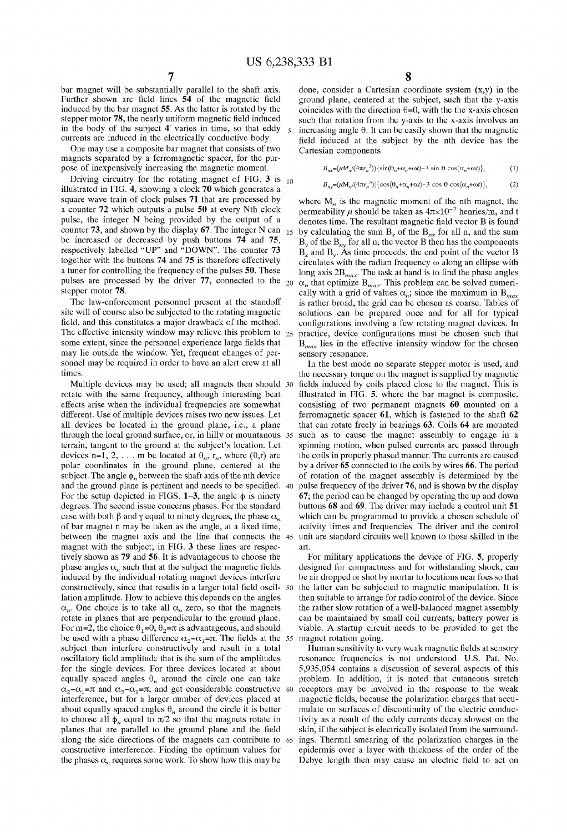25

bar magnet Will be substantially parallel to the shaft axis. Further shown are field lines 54 of the magnetic field induced by the bar magnet 55. As the latter is rotated by the stepper motor 78, the nearly uniform magnetic field induced in the body of the subject 4' varies in time, so that eddy currents are induced in the electrically conductive body.

One may use a composite bar magnet that consists of tWo magnets separated by a ferromagnetic spacer, for the pur pose of inexpensively increasing the magnetic moment.

Driving circuitry for the rotating magnet of FIG.  $3$  is  $_{10}$ illustrated in FIG. 4, showing a clock 70 which generates a square Wave train of clock pulses 71 that are processed by a counter 72 Which outputs a pulse 50 at every Nth clock pulse, the integer N being provided by the output of a counter 73, and shoWn by the display 67. The integer N can be increased or decreased by push buttons 74 and 75, respectively labelled "UP" and "DOWN". The counter 73 together With the buttons 74 and 75 is therefore effectively a tuner for controlling the frequency of the pulses 50. These pulses are processed by the driver 77, connected to the <sub>20</sub>  $\alpha_n$  that optimize B<sub>max</sub>. This problem can be solved numeristepper motor 78.

The law-enforcement personnel present at the standoff site Will of course also be subjected to the rotating magnetic field, and this constitutes a major drawback of the method. The effective intensity window may relieve this problem to some extent, since the personnel experience large fields that may lie outside the WindoW. Yet, frequent changes of per sonnel may be required in order to have an alert crew at all times.

rotate With the same frequency, although interesting beat effects arise When the individual frequencies are someWhat different. Use of multiple devices raises two new issues. Let all devices be located in the ground plane, i.e., a plane terrain, tangent to the ground at the subject's location. Let devices n=1, 2, ... m be located at  $\theta_n$ ,  $r_n$ , where  $(\theta, r)$  are polar coordinates in the ground plane, centered at the subject. The angle  $\phi_n$  between the shaft axis of the nth device and the ground plane is pertinent and needs to be specified. For the setup depicted in FIGS. 1–3, the angle  $\phi$  is ninety degrees. The second issue concerns phases. For the standard case with both  $\beta$  and  $\gamma$  equal to ninety degrees, the phase  $\alpha_n$ of bar magnet n may be taken as the angle, at a fixed time, betWeen the magnet axis and the line that connects the 45 magnet With the subject; in FIG. 3 these lines are respec tively shoWn as 79 and 56. It is advantageous to choose the phase angles  $\alpha_n$  such that at the subject the magnetic fields induced by the individual rotating magnet devices interfere constructively, since that results in a larger total field oscil-50 lation amplitude. HoW to achieve this depends on the angles  $\alpha_n$ . One choice is to take all  $\alpha_n$  zero, so that the magnets rotate in planes that are perpendicular to the ground plane. For m=2, the choice  $\theta_1=0$ ,  $\theta_2=\pi$  is advantageous, and should be used with a phase difference  $\alpha_2 - \alpha_1 = \pi$ . The fields at the 55 magnet rotation going. subject then interfere constructively and result in a total oscillatory field amplitude that is the sum of the amplitudes for the single devices. For three devices located at about equally spaced angles  $\theta_n$  around the circle one can take  $\alpha_2-\alpha_1=\pi$  and  $\alpha_3-\alpha_1=\pi$ , and get considerable constructive 60 interference, but for a larger number of devices placed at about equally spaced angles  $\theta_n$  around the circle it is better to choose all  $\phi_n$  equal to  $\pi/2$  so that the magnets rotate in planes that are parallel to the ground plane and the field constructive interference. Finding the optimum values for the phases  $\alpha_n$  requires some work. To show how this may be

done, consider a Cartesian coordinate system (x,y) in the ground plane, centered at the subject, such that the y-axis coincides with the direction  $\theta$ =0, with the the x-axis chosen such that rotation from the y-axis to the x-axis involves an increasing angle  $\theta$ . It can be easily shown that the magnetic field induced at the subject by the nth device has the Cartesian components

$$
B_{nx} = (\mu M_n / (4\pi r_n^3)) \{ \sin(\theta_n + \alpha_n + \omega t) - 3 \sin \theta \cos(\alpha_n + \omega t) \},\tag{1}
$$

$$
B_{nv} = (\mu M_n / (4\pi r_n^3)) \{ \cos(\theta_n + \alpha_n + \alpha t) - 3 \cos \theta \cos(\alpha_n + \omega t) \},
$$
 (2)

where  $M_n$  is the magnetic moment of the nth magnet, the permeability  $\mu$  should be taken as  $4\pi \times 10^{-7}$  henries/m, and t denotes time. The resultant magnetic field vector B is found by calculating the sum  $B_x$  of the  $B_{nx}$  for all n, and the sum  $B_{\nu}$  of the  $B_{n\nu}$  for all n; the vector B then has the components  $B<sub>x</sub>$  and  $B<sub>y</sub>$ . As time proceeds, the end point of the vector B circulates with the radian frequency  $\omega$  along an ellipse with long axis  $2B_{max}$ . The task at hand is to find the phase angles cally with a grid of values  $\alpha_n$ ; since the maximum in B<sub>max</sub> is rather broad, the grid can be chosen as coarse. Tables of solutions can be prepared once and for all for typical configurations involving a few rotating magnet devices. In practice, device configurations must be chosen such that  $B<sub>max</sub>$  lies in the effective intensity window for the chosen sensory resonance.

In the best mode no separate stepper motor is used, and the necessary torque on the magnet is supplied by magnetic Multiple devices may be used; all magnets then should 30 fields induced by coils placed close to the magnet. This is illustrated in FIG. 5, Where the bar magnet is composite, consisting of tWo permanent magnets 60 mounted on a ferromagnetic spacer 61, Which is fastened to the shaft 62 that can rotate freely in bearings 63. Coils 64 are mounted through the local ground surface, or, in hilly or mountanous 35 such as to cause the magnet assembly to engage in a spinning motion, When pulsed currents are passed through the coils in properly phased manner. The currents are caused by a driver 65 connected to the coils by Wires 66. The period of rotation of the magnet assembly is determined by the pulse frequency of the driver 76, and is shown by the display  $40$ 67; the period can be changed by operating the up and doWn buttons 68 and 69. The driver may include a control unit 51 Which can be programmed to provide a chosen schedule of activity times and frequencies. The driver and the control unit are standard circuits Well knoWn to those skilled in the art.

> For military applications the device of FIG. 5, properly designed for compactness and for Withstanding shock, can be air dropped or shot by mortar to locations near foes so that the latter can be subjected to magnetic manipulation. It is then suitable to arrange for radio control of the device. Since the rather sloW rotation of a Well-balanced magnet assembly can be maintained by small coil currents, battery poWer is viable. A startup circuit needs to be provided to get the

along the side directions of the magnets can contribute to 65 ings. Thermal smearing of the polariZation charges in the Human sensitivity to very weak magnetic fields at sensory resonance frequencies is not understood. US. Pat. No. 5,935,054 contains a discussion of several aspects of this problem. In addition, it is noted that cutaneous stretch receptors may be involved in the response to the Weak magnetic fields, because the polarization charges that accumulate on surfaces of discontinuity of the electric conduc tivity as a result of the eddy currents decay slowest on the skin, if the subject is electrically isolated from the surround epidermis over a layer With thickness of the order of the Debye length then may cause an electric field to act on